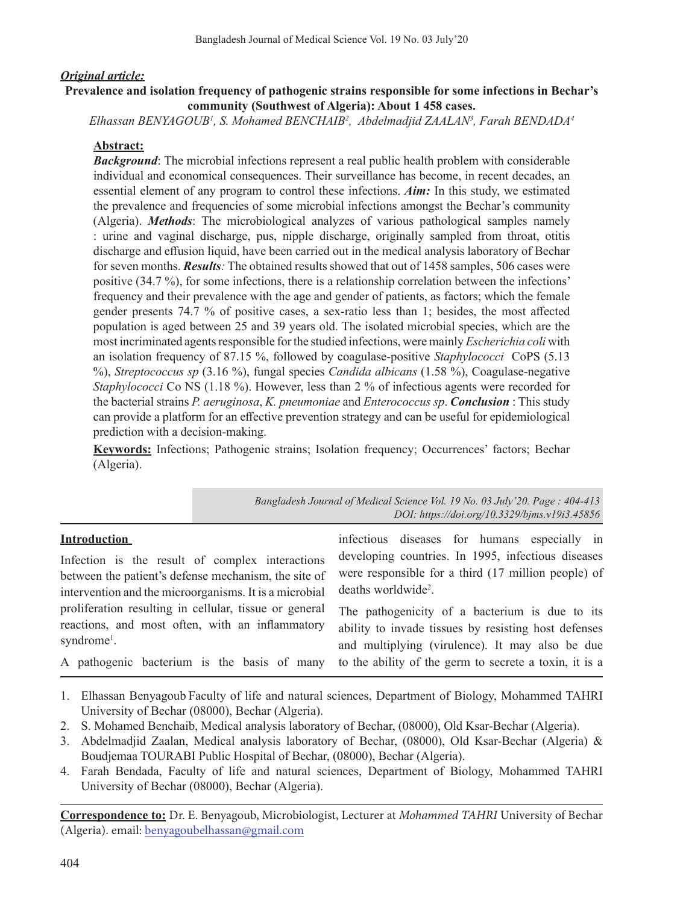### *Original article:*

### **Prevalence and isolation frequency of pathogenic strains responsible for some infections in Bechar's community (Southwest of Algeria): About 1 458 cases.**

*Elhassan BENYAGOUB1 , S. Mohamed BENCHAIB2 , Abdelmadjid ZAALAN3 , Farah BENDADA4*

### **Abstract:**

*Background*: The microbial infections represent a real public health problem with considerable individual and economical consequences. Their surveillance has become, in recent decades, an essential element of any program to control these infections. *Aim:* In this study, we estimated the prevalence and frequencies of some microbial infections amongst the Bechar's community (Algeria). *Methods*: The microbiological analyzes of various pathological samples namely : urine and vaginal discharge, pus, nipple discharge, originally sampled from throat, otitis discharge and effusion liquid, have been carried out in the medical analysis laboratory of Bechar for seven months. *Results:* The obtained results showed that out of 1458 samples, 506 cases were positive (34.7 %), for some infections, there is a relationship correlation between the infections' frequency and their prevalence with the age and gender of patients, as factors; which the female gender presents 74.7 % of positive cases, a sex-ratio less than 1; besides, the most affected population is aged between 25 and 39 years old. The isolated microbial species, which are the most incriminated agents responsible for the studied infections, were mainly *Escherichia coli* with an isolation frequency of 87.15 %, followed by coagulase-positive *Staphylococci* CoPS (5.13 %), *Streptococcus sp* (3.16 %), fungal species *Candida albicans* (1.58 %), Coagulase-negative *Staphylococci* Co NS (1.18 %). However, less than 2 % of infectious agents were recorded for the bacterial strains *P. aeruginosa*, *K. pneumoniae* and *Enterococcus sp*. *Conclusion* : This study can provide a platform for an effective prevention strategy and can be useful for epidemiological prediction with a decision-making.

**Keywords:** Infections; Pathogenic strains; Isolation frequency; Occurrences' factors; Bechar (Algeria).

|                                                                                                                                                                   | Bangladesh Journal of Medical Science Vol. 19 No. 03 July '20. Page: 404-413<br>DOI: https://doi.org/10.3329/bjms.v19i3.45856                             |
|-------------------------------------------------------------------------------------------------------------------------------------------------------------------|-----------------------------------------------------------------------------------------------------------------------------------------------------------|
| <b>Introduction</b>                                                                                                                                               | infectious diseases for humans especially in                                                                                                              |
| Infection is the result of complex interactions<br>between the patient's defense mechanism, the site of<br>intervention and the microorganisms. It is a microbial | developing countries. In 1995, infectious diseases<br>were responsible for a third (17 million people) of<br>deaths worldwide <sup>2</sup> .              |
| proliferation resulting in cellular, tissue or general<br>reactions, and most often, with an inflammatory<br>syndrome <sup>1</sup> .                              | The pathogenicity of a bacterium is due to its<br>ability to invade tissues by resisting host defenses<br>and multiplying (virulence). It may also be due |
| A pathogenic bacterium is the basis of many                                                                                                                       | to the ability of the germ to secrete a toxin, it is a                                                                                                    |

- 1. Elhassan Benyagoub Faculty of life and natural sciences, Department of Biology, Mohammed TAHRI University of Bechar (08000), Bechar (Algeria).
- 2. S. Mohamed Benchaib, Medical analysis laboratory of Bechar, (08000), Old Ksar-Bechar (Algeria).
- 3. Abdelmadjid Zaalan, Medical analysis laboratory of Bechar, (08000), Old Ksar-Bechar (Algeria) & Boudjemaa TOURABI Public Hospital of Bechar, (08000), Bechar (Algeria).
- 4. Farah Bendada, Faculty of life and natural sciences, Department of Biology, Mohammed TAHRI University of Bechar (08000), Bechar (Algeria).

**Correspondence to:** Dr. E. Benyagoub, Microbiologist, Lecturer at *Mohammed TAHRI* University of Bechar (Algeria). email: benyagoubelhassan@gmail.com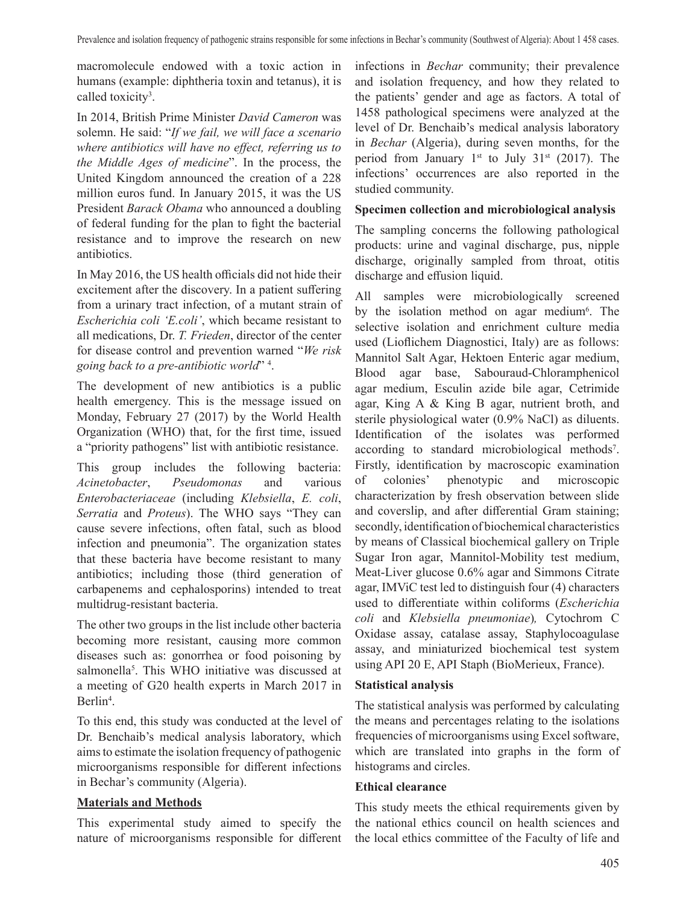macromolecule endowed with a toxic action in humans (example: diphtheria toxin and tetanus), it is called toxicity<sup>3</sup>.

In 2014, British Prime Minister *David Cameron* was solemn. He said: "*If we fail, we will face a scenario where antibiotics will have no effect, referring us to the Middle Ages of medicine*". In the process, the United Kingdom announced the creation of a 228 million euros fund. In January 2015, it was the US President *Barack Obama* who announced a doubling of federal funding for the plan to fight the bacterial resistance and to improve the research on new antibiotics.

In May 2016, the US health officials did not hide their excitement after the discovery. In a patient suffering from a urinary tract infection, of a mutant strain of *Escherichia coli 'E.coli'*, which became resistant to all medications, Dr. *T. Frieden*, director of the center for disease control and prevention warned "*We risk going back to a pre-antibiotic world*" <sup>4</sup> .

The development of new antibiotics is a public health emergency. This is the message issued on Monday, February 27 (2017) by the World Health Organization (WHO) that, for the first time, issued a "priority pathogens" list with antibiotic resistance.

This group includes the following bacteria: *Acinetobacter*, *Pseudomonas* and various *Enterobacteriaceae* (including *Klebsiella*, *E. coli*, *Serratia* and *Proteus*). The WHO says "They can cause severe infections, often fatal, such as blood infection and pneumonia". The organization states that these bacteria have become resistant to many antibiotics; including those (third generation of carbapenems and cephalosporins) intended to treat multidrug-resistant bacteria.

The other two groups in the list include other bacteria becoming more resistant, causing more common diseases such as: gonorrhea or food poisoning by salmonella<sup>5</sup>. This WHO initiative was discussed at a meeting of G20 health experts in March 2017 in Berlin<sup>4</sup>.

To this end, this study was conducted at the level of Dr. Benchaib's medical analysis laboratory, which aimsto estimate the isolation frequency of pathogenic microorganisms responsible for different infections in Bechar's community (Algeria).

#### **Materials and Methods**

This experimental study aimed to specify the nature of microorganisms responsible for different infections in *Bechar* community; their prevalence and isolation frequency, and how they related to the patients' gender and age as factors. A total of 1458 pathological specimens were analyzed at the level of Dr. Benchaib's medical analysis laboratory in *Bechar* (Algeria), during seven months, for the period from January 1st to July 31st (2017). The infections' occurrences are also reported in the studied community.

### **Specimen collection and microbiological analysis**

The sampling concerns the following pathological products: urine and vaginal discharge, pus, nipple discharge, originally sampled from throat, otitis discharge and effusion liquid.

All samples were microbiologically screened by the isolation method on agar medium<sup>6</sup>. The selective isolation and enrichment culture media used (Lioflichem Diagnostici, Italy) are as follows: Mannitol Salt Agar, Hektoen Enteric agar medium, Blood agar base, Sabouraud-Chloramphenicol agar medium, Esculin azide bile agar, Cetrimide agar, King A & King B agar, nutrient broth, and sterile physiological water (0.9% NaCl) as diluents. Identification of the isolates was performed according to standard microbiological methods<sup>7</sup>. Firstly, identification by macroscopic examination of colonies' phenotypic and microscopic characterization by fresh observation between slide and coverslip, and after differential Gram staining; secondly, identification of biochemical characteristics by means of Classical biochemical gallery on Triple Sugar Iron agar, Mannitol-Mobility test medium, Meat-Liver glucose 0.6% agar and Simmons Citrate agar, IMViC test led to distinguish four (4) characters used to differentiate within coliforms (*Escherichia coli* and *Klebsiella pneumoniae*)*,* Cytochrom C Oxidase assay, catalase assay, Staphylocoagulase assay, and miniaturized biochemical test system using API 20 E, API Staph (BioMerieux, France).

#### **Statistical analysis**

The statistical analysis was performed by calculating the means and percentages relating to the isolations frequencies of microorganisms using Excel software, which are translated into graphs in the form of histograms and circles.

#### **Ethical clearance**

This study meets the ethical requirements given by the national ethics council on health sciences and the local ethics committee of the Faculty of life and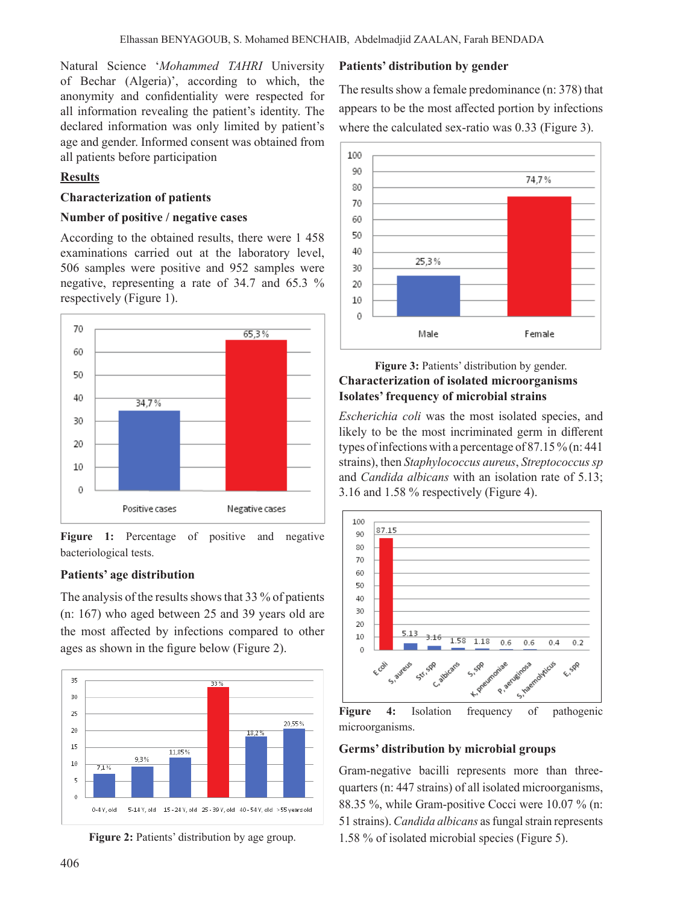Natural Science '*Mohammed TAHRI* University of Bechar (Algeria)', according to which, the anonymity and confidentiality were respected for all information revealing the patient's identity. The declared information was only limited by patient's age and gender. Informed consent was obtained from all patients before participation

# **Results**

### **Characterization of patients**

### **Number of positive / negative cases**

According to the obtained results, there were 1 458 examinations carried out at the laboratory level, 506 samples were positive and 952 samples were negative, representing a rate of 34.7 and 65.3 % respectively (Figure 1).



**Figure 1:** Percentage of positive and negative bacteriological tests.

## **Patients' age distribution**

The analysis of the results shows that  $33\%$  of patients (n: 167) who aged between 25 and 39 years old are the most affected by infections compared to other ages as shown in the figure below (Figure 2).





### **Patients' distribution by gender**

The results show a female predominance  $(n: 378)$  that appears to be the most affected portion by infections where the calculated sex-ratio was 0.33 (Figure 3).



### **Figure 3:** Patients' distribution by gender. **Characterization of isolated microorganisms Isolates' frequency of microbial strains**

*Escherichia coli* was the most isolated species, and likely to be the most incriminated germ in different types of infections with a percentage of 87.15 % (n: 441) strains), then *Staphylococcus aureus*, *Streptococcus sp* and *Candida albicans* with an isolation rate of 5.13; 3.16 and 1.58 % respectively (Figure 4).



**Figure 4:** Isolation frequency of pathogenic microorganisms.

#### **Germs' distribution by microbial groups**

Gram-negative bacilli represents more than threequarters (n: 447 strains) of all isolated microorganisms, 88.35 %, while Gram-positive Cocci were 10.07 % (n: 51 strains). *Candida albicans* as fungal strain represents 1.58 % of isolated microbial species (Figure 5).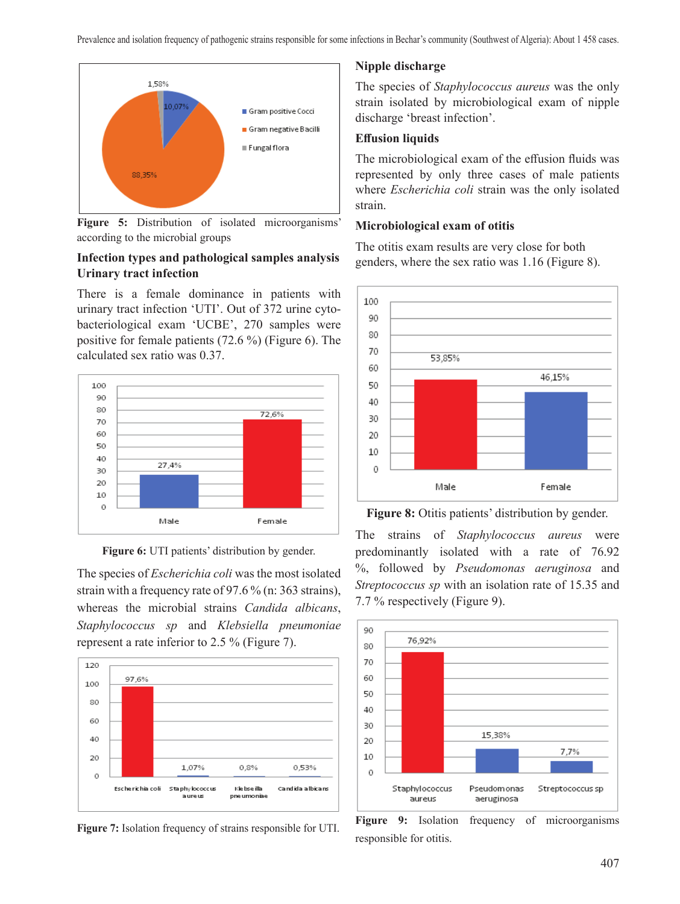

**Figure 5:** Distribution of isolated microorganisms' according to the microbial groups

# **Infection types and pathological samples analysis Urinary tract infection**

There is a female dominance in patients with urinary tract infection 'UTI'. Out of 372 urine cytobacteriological exam 'UCBE', 270 samples were positive for female patients (72.6 %) (Figure 6). The calculated sex ratio was 0.37.



**Figure 6:** UTI patients' distribution by gender.

The species of *Escherichia coli* was the most isolated strain with a frequency rate of 97.6 % (n: 363 strains), whereas the microbial strains *Candida albicans*, *Staphylococcus sp* and *Klebsiella pneumoniae* represent a rate inferior to 2.5 % (Figure 7).



**Figure 7:** Isolation frequency of strains responsible for UTI.

## **Nipple discharge**

The species of *Staphylococcus aureus* was the only strain isolated by microbiological exam of nipple discharge 'breast infection'.

### **Effusion liquids**

The microbiological exam of the effusion fluids was represented by only three cases of male patients where *Escherichia coli* strain was the only isolated strain.

#### **Microbiological exam of otitis**

The otitis exam results are very close for both genders, where the sex ratio was 1.16 (Figure 8).



**Figure 8:** Otitis patients' distribution by gender.

The strains of *Staphylococcus aureus* were predominantly isolated with a rate of 76.92 %, followed by *Pseudomonas aeruginosa* and *Streptococcus sp* with an isolation rate of 15.35 and 7.7 % respectively (Figure 9).



**Figure 9:** Isolation frequency of microorganisms responsible for otitis.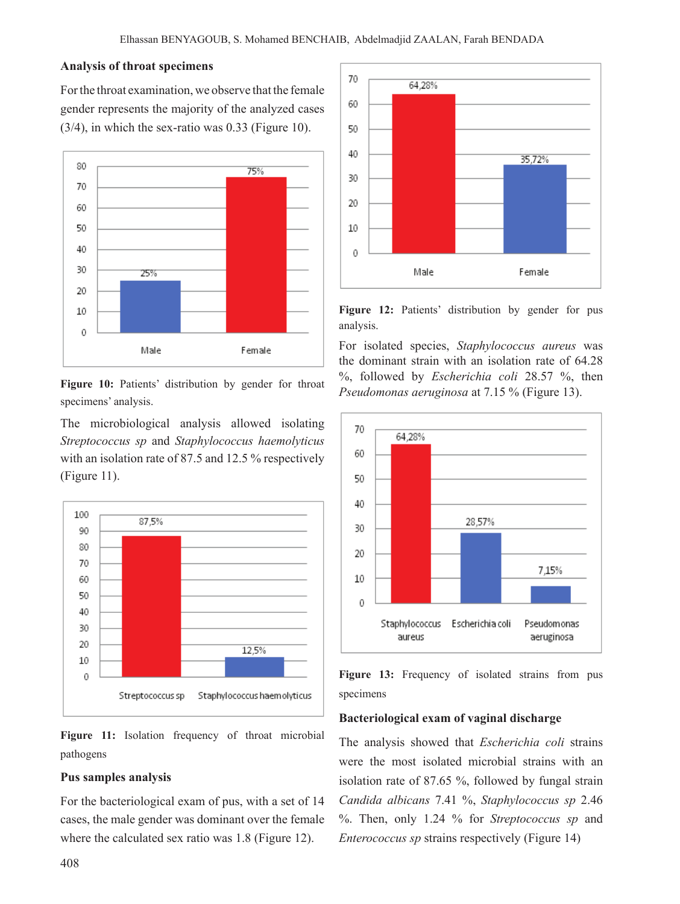#### **Analysis of throat specimens**

Forthe throat examination, we observe that the female gender represents the majority of the analyzed cases (3/4), in which the sex-ratio was 0.33 (Figure 10).



Figure 10: Patients' distribution by gender for throat specimens' analysis.

The microbiological analysis allowed isolating *Streptococcus sp* and *Staphylococcus haemolyticus* with an isolation rate of 87.5 and 12.5 % respectively (Figure 11).



**Figure 11:** Isolation frequency of throat microbial pathogens

#### **Pus samples analysis**

For the bacteriological exam of pus, with a set of 14 cases, the male gender was dominant over the female where the calculated sex ratio was 1.8 (Figure 12).



**Figure 12:** Patients' distribution by gender for pus analysis.

For isolated species, *Staphylococcus aureus* was the dominant strain with an isolation rate of 64.28 %, followed by *Escherichia coli* 28.57 %, then *Pseudomonas aeruginosa* at 7.15 % (Figure 13).



**Figure 13:** Frequency of isolated strains from pus specimens

#### **Bacteriological exam of vaginal discharge**

The analysis showed that *Escherichia coli* strains were the most isolated microbial strains with an isolation rate of 87.65 %, followed by fungal strain *Candida albicans* 7.41 %, *Staphylococcus sp* 2.46 %. Then, only 1.24 % for *Streptococcus sp* and *Enterococcus sp* strains respectively (Figure 14)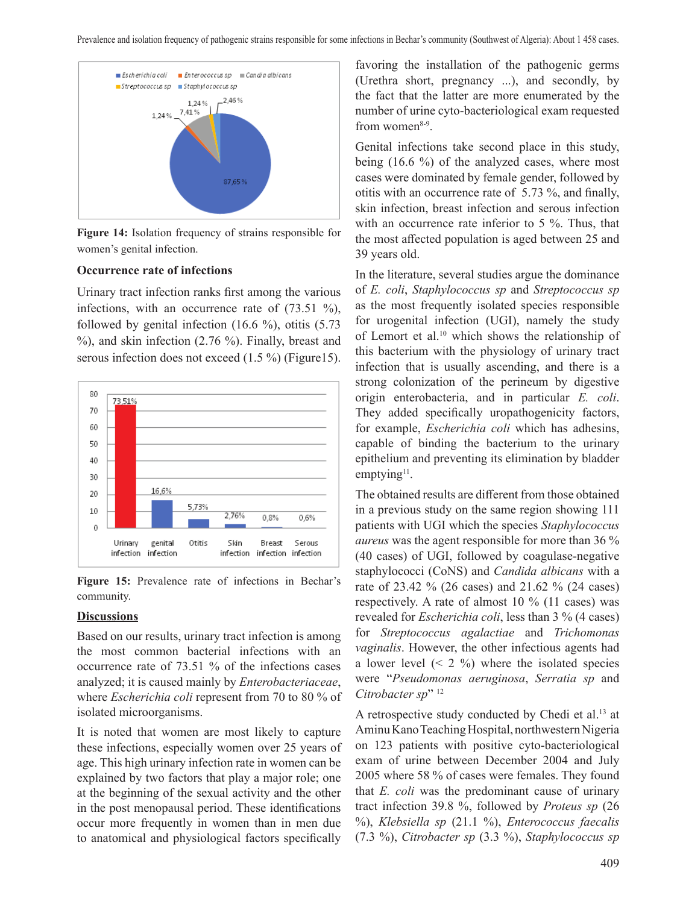

**Figure 14:** Isolation frequency of strains responsible for women's genital infection.

#### **Occurrence rate of infections**

Urinary tract infection ranks first among the various infections, with an occurrence rate of (73.51 %), followed by genital infection  $(16.6 \%)$ , otitis  $(5.73 \)$ %), and skin infection (2.76 %). Finally, breast and serous infection does not exceed (1.5 %) (Figure15).



**Figure 15:** Prevalence rate of infections in Bechar's community.

## **Discussions**

Based on our results, urinary tract infection is among the most common bacterial infections with an occurrence rate of 73.51 % of the infections cases analyzed; it is caused mainly by *Enterobacteriaceae*, where *Escherichia coli* represent from 70 to 80 % of isolated microorganisms.

It is noted that women are most likely to capture these infections, especially women over 25 years of age. This high urinary infection rate in women can be explained by two factors that play a major role; one at the beginning of the sexual activity and the other in the post menopausal period. These identifications occur more frequently in women than in men due to anatomical and physiological factors specifically

favoring the installation of the pathogenic germs (Urethra short, pregnancy ...), and secondly, by the fact that the latter are more enumerated by the number of urine cyto-bacteriological exam requested from women $8-9$ .

Genital infections take second place in this study, being (16.6 %) of the analyzed cases, where most cases were dominated by female gender, followed by otitis with an occurrence rate of 5.73 %, and finally, skin infection, breast infection and serous infection with an occurrence rate inferior to 5 %. Thus, that the most affected population is aged between 25 and 39 years old.

In the literature, several studies argue the dominance of *E. coli*, *Staphylococcus sp* and *Streptococcus sp* as the most frequently isolated species responsible for urogenital infection (UGI), namely the study of Lemort et al.10 which shows the relationship of this bacterium with the physiology of urinary tract infection that is usually ascending, and there is a strong colonization of the perineum by digestive origin enterobacteria, and in particular *E. coli*. They added specifically uropathogenicity factors, for example, *Escherichia coli* which has adhesins, capable of binding the bacterium to the urinary epithelium and preventing its elimination by bladder emptying $11$ .

The obtained results are different from those obtained in a previous study on the same region showing 111 patients with UGI which the species *Staphylococcus aureus* was the agent responsible for more than 36 % (40 cases) of UGI, followed by coagulase-negative staphylococci (CoNS) and *Candida albicans* with a rate of 23.42 % (26 cases) and 21.62 % (24 cases) respectively. A rate of almost 10 % (11 cases) was revealed for *Escherichia coli*, less than 3 % (4 cases) for *Streptococcus agalactiae* and *Trichomonas vaginalis*. However, the other infectious agents had a lower level  $(2, 2, 9)$  where the isolated species were "*Pseudomonas aeruginosa*, *Serratia sp* and *Citrobacter sp*" <sup>12</sup>

A retrospective study conducted by Chedi et al.<sup>13</sup> at Aminu Kano Teaching Hospital, northwestern Nigeria on 123 patients with positive cyto-bacteriological exam of urine between December 2004 and July 2005 where 58 % of cases were females. They found that *E. coli* was the predominant cause of urinary tract infection 39.8 %, followed by *Proteus sp* (26 %), *Klebsiella sp* (21.1 %), *Enterococcus faecalis* (7.3 %), *Citrobacter sp* (3.3 %), *Staphylococcus sp*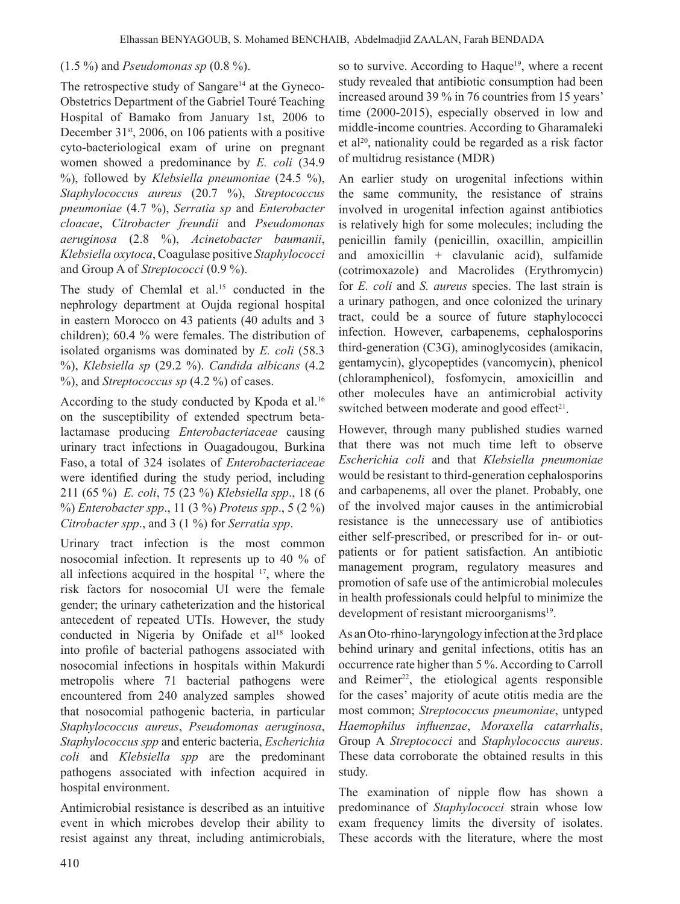#### (1.5 %) and *Pseudomonas sp* (0.8 %).

The retrospective study of Sangare<sup>14</sup> at the Gyneco-Obstetrics Department of the Gabriel Touré Teaching Hospital of Bamako from January 1st, 2006 to December  $31<sup>st</sup>$ , 2006, on 106 patients with a positive cyto-bacteriological exam of urine on pregnant women showed a predominance by *E. coli* (34.9 %), followed by *Klebsiella pneumoniae* (24.5 %), *Staphylococcus aureus* (20.7 %), *Streptococcus pneumoniae* (4.7 %), *Serratia sp* and *Enterobacter cloacae*, *Citrobacter freundii* and *Pseudomonas aeruginosa* (2.8 %), *Acinetobacter baumanii*, *Klebsiella oxytoca*, Coagulase positive *Staphylococci* and Group A of *Streptococci* (0.9 %).

The study of Chemlal et al.<sup>15</sup> conducted in the nephrology department at Oujda regional hospital in eastern Morocco on 43 patients (40 adults and 3 children); 60.4 % were females. The distribution of isolated organisms was dominated by *E. coli* (58.3 %), *Klebsiella sp* (29.2 %). *Candida albicans* (4.2 %), and *Streptococcus sp* (4.2 %) of cases.

According to the study conducted by Kpoda et al.<sup>16</sup> on the susceptibility of extended spectrum betalactamase producing *Enterobacteriaceae* causing urinary tract infections in Ouagadougou, Burkina Faso, a total of 324 isolates of *Enterobacteriaceae* were identified during the study period, including 211 (65 %) *E. coli*, 75 (23 %) *Klebsiella spp*., 18 (6 %) *Enterobacter spp*., 11 (3 %) *Proteus spp*., 5 (2 %) *Citrobacter spp*., and 3 (1 %) for *Serratia spp*.

Urinary tract infection is the most common nosocomial infection. It represents up to 40 % of all infections acquired in the hospital 17, where the risk factors for nosocomial UI were the female gender; the urinary catheterization and the historical antecedent of repeated UTIs. However, the study conducted in Nigeria by Onifade et al<sup>18</sup> looked into profile of bacterial pathogens associated with nosocomial infections in hospitals within Makurdi metropolis where 71 bacterial pathogens were encountered from 240 analyzed samples showed that nosocomial pathogenic bacteria, in particular *Staphylococcus aureus*, *Pseudomonas aeruginosa*, *Staphylococcus spp* and enteric bacteria, *Escherichia coli* and *Klebsiella spp* are the predominant pathogens associated with infection acquired in hospital environment.

Antimicrobial resistance is described as an intuitive event in which microbes develop their ability to resist against any threat, including antimicrobials,

so to survive. According to Haque<sup>19</sup>, where a recent study revealed that antibiotic consumption had been increased around 39 % in 76 countries from 15 years' time (2000-2015), especially observed in low and middle-income countries. According to Gharamaleki et al20, nationality could be regarded as a risk factor of multidrug resistance (MDR)

An earlier study on urogenital infections within the same community, the resistance of strains involved in urogenital infection against antibiotics is relatively high for some molecules; including the penicillin family (penicillin, oxacillin, ampicillin and amoxicillin  $+$  clavulanic acid), sulfamide (cotrimoxazole) and Macrolides (Erythromycin) for *E. coli* and *S. aureus* species. The last strain is a urinary pathogen, and once colonized the urinary tract, could be a source of future staphylococci infection. However, carbapenems, cephalosporins third-generation (C3G), aminoglycosides (amikacin, gentamycin), glycopeptides (vancomycin), phenicol (chloramphenicol), fosfomycin, amoxicillin and other molecules have an antimicrobial activity switched between moderate and good effect<sup>21</sup>.

However, through many published studies warned that there was not much time left to observe *Escherichia coli* and that *Klebsiella pneumoniae* would be resistant to third-generation cephalosporins and carbapenems, all over the planet. Probably, one of the involved major causes in the antimicrobial resistance is the unnecessary use of antibiotics either self-prescribed, or prescribed for in- or outpatients or for patient satisfaction. An antibiotic management program, regulatory measures and promotion of safe use of the antimicrobial molecules in health professionals could helpful to minimize the development of resistant microorganisms<sup>19</sup>.

As anOto-rhino-laryngology infection atthe 3rd place behind urinary and genital infections, otitis has an occurrence rate higher than 5 %.According to Carroll and Reimer<sup>22</sup>, the etiological agents responsible for the cases' majority of acute otitis media are the most common; *Streptococcus pneumoniae*, untyped *Haemophilus influenzae*, *Moraxella catarrhalis*, Group A *Streptococci* and *Staphylococcus aureus*. These data corroborate the obtained results in this study.

The examination of nipple flow has shown a predominance of *Staphylococci* strain whose low exam frequency limits the diversity of isolates. These accords with the literature, where the most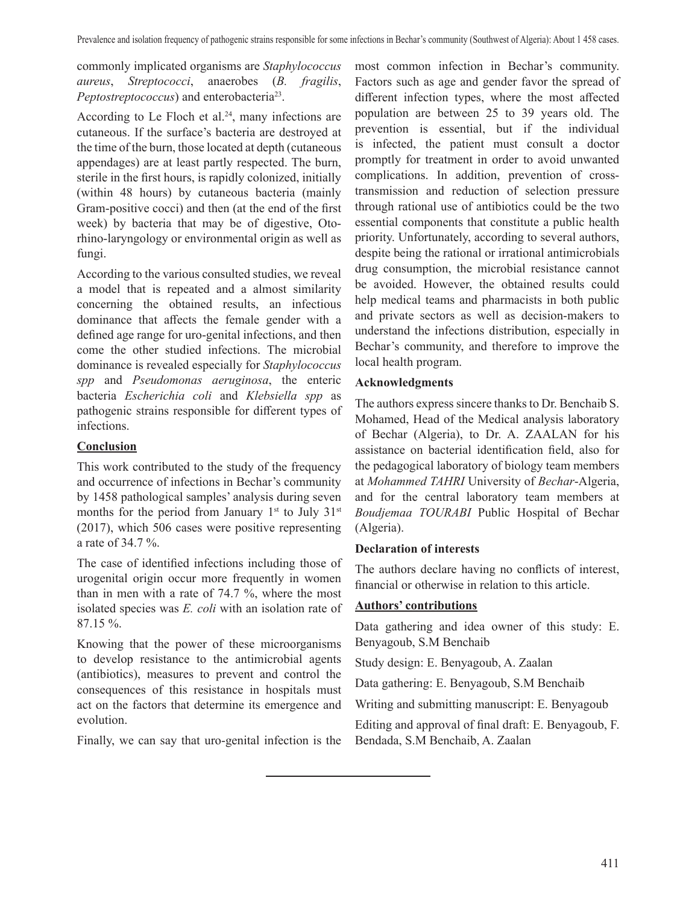commonly implicated organisms are *Staphylococcus aureus*, *Streptococci*, anaerobes (*B. fragilis*, *Peptostreptococcus*) and enterobacteria<sup>23</sup>.

According to Le Floch et al.<sup>24</sup>, many infections are cutaneous. If the surface's bacteria are destroyed at the time of the burn, those located at depth (cutaneous appendages) are at least partly respected. The burn, sterile in the first hours, is rapidly colonized, initially (within 48 hours) by cutaneous bacteria (mainly Gram-positive cocci) and then (at the end of the first week) by bacteria that may be of digestive, Otorhino-laryngology or environmental origin as well as fungi.

According to the various consulted studies, we reveal a model that is repeated and a almost similarity concerning the obtained results, an infectious dominance that affects the female gender with a defined age range for uro-genital infections, and then come the other studied infections. The microbial dominance is revealed especially for *Staphylococcus spp* and *Pseudomonas aeruginosa*, the enteric bacteria *Escherichia coli* and *Klebsiella spp* as pathogenic strains responsible for different types of infections.

# **Conclusion**

This work contributed to the study of the frequency and occurrence of infections in Bechar's community by 1458 pathological samples' analysis during seven months for the period from January  $1^{st}$  to July  $31^{st}$ (2017), which 506 cases were positive representing a rate of 34.7 %.

The case of identified infections including those of urogenital origin occur more frequently in women than in men with a rate of 74.7 %, where the most isolated species was *E. coli* with an isolation rate of 87.15 %.

Knowing that the power of these microorganisms to develop resistance to the antimicrobial agents (antibiotics), measures to prevent and control the consequences of this resistance in hospitals must act on the factors that determine its emergence and evolution.

Finally, we can say that uro-genital infection is the

most common infection in Bechar's community. Factors such as age and gender favor the spread of different infection types, where the most affected population are between 25 to 39 years old. The prevention is essential, but if the individual is infected, the patient must consult a doctor promptly for treatment in order to avoid unwanted complications. In addition, prevention of crosstransmission and reduction of selection pressure through rational use of antibiotics could be the two essential components that constitute a public health priority. Unfortunately, according to several authors, despite being the rational or irrational antimicrobials drug consumption, the microbial resistance cannot be avoided. However, the obtained results could help medical teams and pharmacists in both public and private sectors as well as decision-makers to understand the infections distribution, especially in Bechar's community, and therefore to improve the local health program.

# **Acknowledgments**

The authors express sincere thanks to Dr. Benchaib S. Mohamed, Head of the Medical analysis laboratory of Bechar (Algeria), to Dr. A. ZAALAN for his assistance on bacterial identification field, also for the pedagogical laboratory of biology team members at *Mohammed TAHRI* University of *Bechar*-Algeria, and for the central laboratory team members at *Boudjemaa TOURABI* Public Hospital of Bechar (Algeria).

## **Declaration of interests**

The authors declare having no conflicts of interest, financial or otherwise in relation to this article.

## **Authors' contributions**

Data gathering and idea owner of this study: E. Benyagoub, S.M Benchaib

Study design: E. Benyagoub, A. Zaalan

Data gathering: E. Benyagoub, S.M Benchaib

Writing and submitting manuscript: E. Benyagoub

Editing and approval of final draft: E. Benyagoub, F. Bendada, S.M Benchaib, A. Zaalan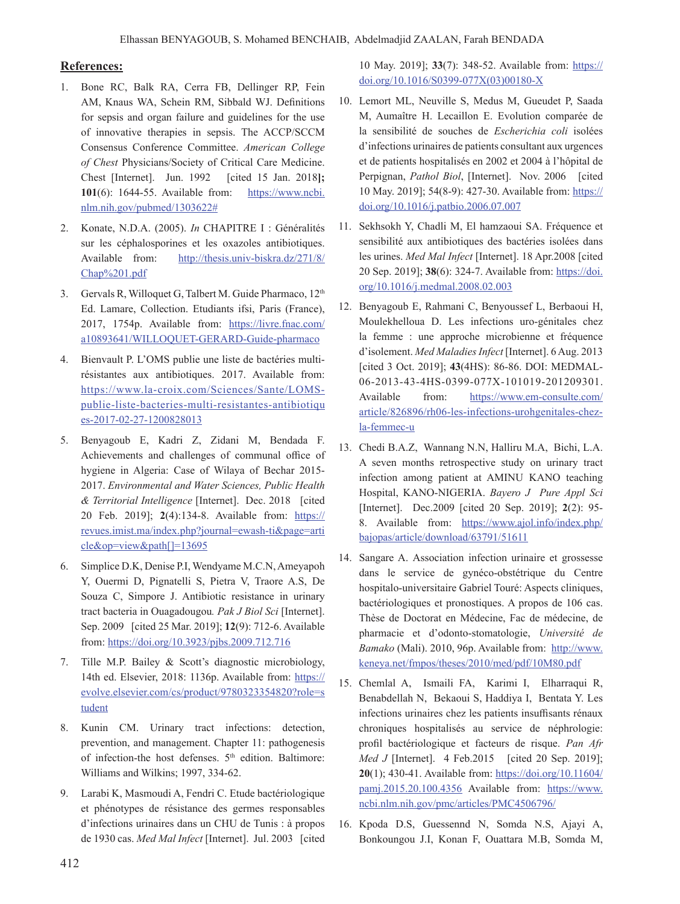#### **References:**

- 1. Bone RC, Balk RA, Cerra FB, Dellinger RP, Fein AM, Knaus WA, Schein RM, Sibbald WJ. Definitions for sepsis and organ failure and guidelines for the use of innovative therapies in sepsis. The ACCP/SCCM Consensus Conference Committee. *American College of Chest* Physicians/Society of Critical Care Medicine. Chest [Internet]. Jun. 1992 [cited 15 Jan. 2018**]; 101**(6): 1644-55. Available from: https://www.ncbi. nlm.nih.gov/pubmed/1303622#
- 2. Konate, N.D.A. (2005). *In* CHAPITRE I : Généralités sur les céphalosporines et les oxazoles antibiotiques. Available from: http://thesis.univ-biskra.dz/271/8/ Chap%201.pdf
- 3. Gervals R, Willoquet G, Talbert M. Guide Pharmaco, 12<sup>th</sup> Ed. Lamare, Collection. Etudiants ifsi, Paris (France), 2017, 1754p. Available from: https://livre.fnac.com/ a10893641/WILLOQUET-GERARD-Guide-pharmaco
- 4. Bienvault P. L'OMS publie une liste de bactéries multirésistantes aux antibiotiques. 2017. Available from: https://www.la-croix.com/Sciences/Sante/LOMSpublie-liste-bacteries-multi-resistantes-antibiotiqu es-2017-02-27-1200828013
- 5. Benyagoub E, Kadri Z, Zidani M, Bendada F. Achievements and challenges of communal office of hygiene in Algeria: Case of Wilaya of Bechar 2015- 2017. *Environmental and Water Sciences, Public Health & Territorial Intelligence* [Internet]. Dec. 2018 [cited 20 Feb. 2019]; **2**(4):134-8. Available from: https:// revues.imist.ma/index.php?journal=ewash-ti&page=arti cle&op=view&path[]=13695
- 6. Simplice D.K, Denise P.I, Wendyame M.C.N,Ameyapoh Y, Ouermi D, Pignatelli S, Pietra V, Traore A.S, De Souza C, Simpore J. Antibiotic resistance in urinary tract bacteria in Ouagadougou*. Pak J Biol Sci* [Internet]. Sep. 2009 [cited 25 Mar. 2019]; **12**(9): 712-6. Available from: https://doi.org/10.3923/pjbs.2009.712.716
- 7. Tille M.P. Bailey & Scott's diagnostic microbiology, 14th ed. Elsevier, 2018: 1136p. Available from: https:// evolve.elsevier.com/cs/product/9780323354820?role=s tudent
- 8. Kunin CM. Urinary tract infections: detection, prevention, and management. Chapter 11: pathogenesis of infection-the host defenses. 5<sup>th</sup> edition. Baltimore: Williams and Wilkins; 1997, 334-62.
- 9. Larabi K, Masmoudi A, Fendri C. Etude bactériologique et phénotypes de résistance des germes responsables d'infections urinaires dans un CHU de Tunis : à propos de 1930 cas. *Med Mal Infect* [Internet]. Jul. 2003 [cited

10 May. 2019]; **33**(7): 348-52. Available from: https:// doi.org/10.1016/S0399-077X(03)00180-X

- 10. Lemort ML, Neuville S, Medus M, Gueudet P, Saada M, Aumaître H. Lecaillon E. Evolution comparée de la sensibilité de souches de *Escherichia coli* isolées d'infections urinaires de patients consultant aux urgences et de patients hospitalisés en 2002 et 2004 à l'hôpital de Perpignan, Pathol Biol, [Internet]. Nov. 2006 [cited 10 May. 2019]; 54(8-9): 427-30. Available from: https:// doi.org/10.1016/j.patbio.2006.07.007
- 11. Sekhsokh Y, Chadli M, El hamzaoui SA. Fréquence et sensibilité aux antibiotiques des bactéries isolées dans les urines. *Med Mal Infect* [Internet]. 18 Apr.2008 [cited 20 Sep. 2019]; **38**(6): 324-7. Available from: https://doi. org/10.1016/j.medmal.2008.02.003
- 12. Benyagoub E, Rahmani C, Benyoussef L, Berbaoui H, Moulekhelloua D. Les infections uro-génitales chez la femme : une approche microbienne et fréquence d'isolement. *Med Maladies Infect* [Internet]. 6Aug. 2013 [cited 3 Oct. 2019]; **43**(4HS): 86-86. DOI: MEDMAL-06-2013-43-4HS-0399-077X-101019-201209301. Available from: https://www.em-consulte.com/ article/826896/rh06-les-infections-urohgenitales-chezla-femmec-u
- 13. Chedi B.A.Z, Wannang N.N, Halliru M.A, Bichi, L.A. A seven months retrospective study on urinary tract infection among patient at AMINU KANO teaching Hospital, KANO-NIGERIA. *Bayero J Pure Appl Sci* [Internet]. Dec.2009 [cited 20 Sep. 2019]; **2**(2): 95- 8. Available from: https://www.ajol.info/index.php/ bajopas/article/download/63791/51611
- 14. Sangare A. Association infection urinaire et grossesse dans le service de gynéco-obstétrique du Centre hospitalo-universitaire Gabriel Touré: Aspects cliniques, bactériologiques et pronostiques. A propos de 106 cas. Thèse de Doctorat en Médecine, Fac de médecine, de pharmacie et d'odonto-stomatologie, *Université de Bamako* (Mali). 2010, 96p. Available from: http://www. keneya.net/fmpos/theses/2010/med/pdf/10M80.pdf
- 15. Chemlal A, Ismaili FA, Karimi I, Elharraqui R, Benabdellah N, Bekaoui S, Haddiya I, Bentata Y. Les infections urinaires chez les patients insuffisants rénaux chroniques hospitalisés au service de néphrologie: profil bactériologique et facteurs de risque. *Pan Afr Med J* [Internet]. 4 Feb.2015 [cited 20 Sep. 2019]; **20**(1); 430-41. Available from: https://doi.org/10.11604/ pamj.2015.20.100.4356 Available from: https://www. ncbi.nlm.nih.gov/pmc/articles/PMC4506796/
- 16. Kpoda D.S, Guessennd N, Somda N.S, Ajayi A, Bonkoungou J.I, Konan F, Ouattara M.B, Somda M,